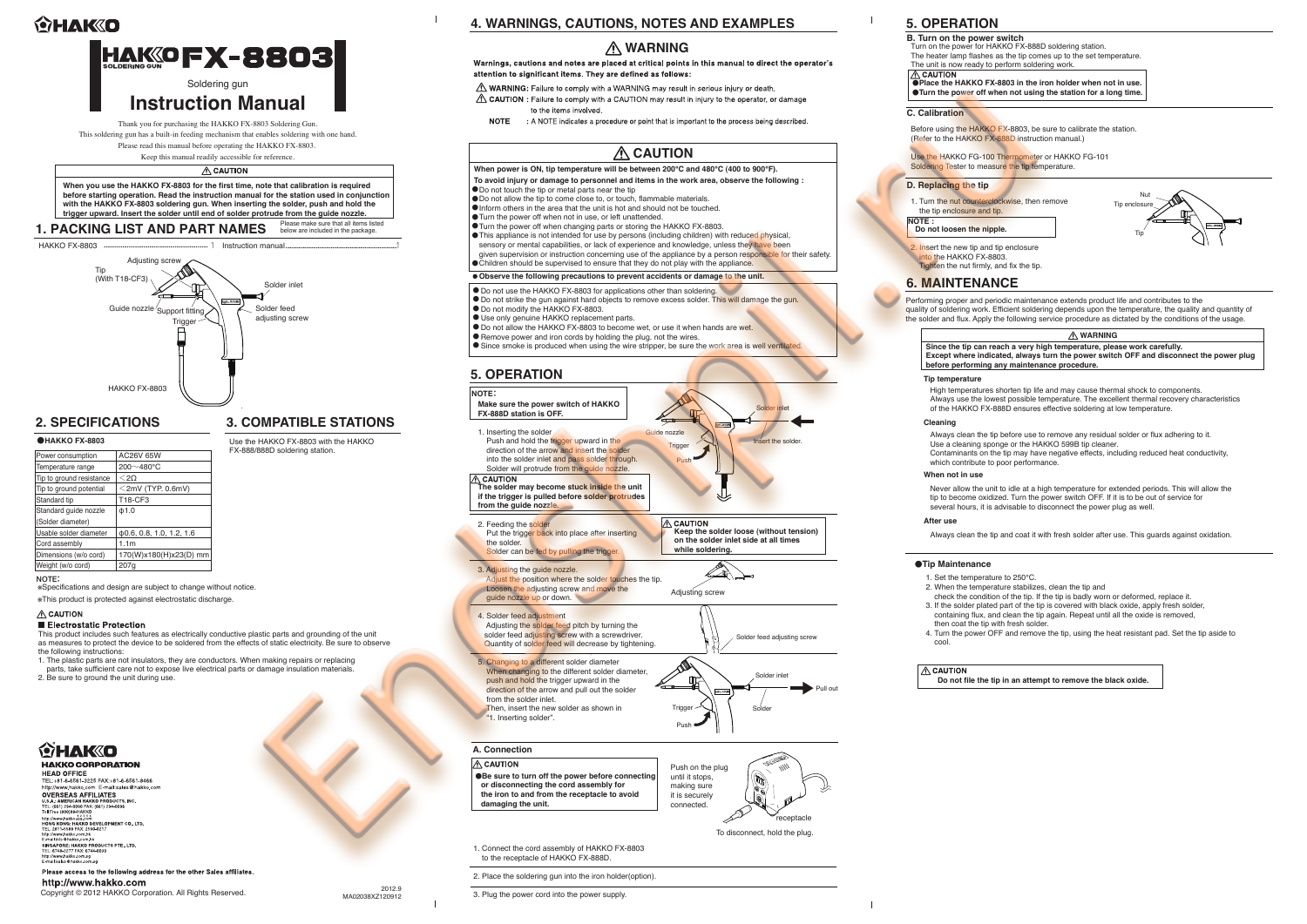

 Nut Tip enclosure

Tip

Before using the HAKKO FX-8803, be sure to calibrate the station. (Refer to the HAKKO FX-888D instruction manual.)

Performing proper and periodic maintenance extends product life and contributes to the quality of soldering work. Efficient soldering depends upon the temperature, the quality and quantity of the solder and flux. Apply the following service procedure as dictated by the conditions of the usage.

The heater lamp flashes as the tip comes up to the set temperature.

### ●**Place the HAKKO FX-8803 in the iron holder when not in use.** ●**Turn the power off when not using the station for a long time.**

Use the HAKKO FG-100 Thermometer or HAKKO FG-101

High temperatures shorten tip life and may cause thermal shock to components. Always use the lowest possible temperature. The excellent thermal recovery characteristics of the HAKKO FX-888D ensures effective soldering at low temperature.

Always clean the tip before use to remove any residual solder or flux adhering to it. Use a cleaning sponge or the HAKKO 599B tip cleaner. Contaminants on the tip may have negative effects, including reduced heat conductivity, which contribute to poor performance.

Never allow the unit to idle at a high temperature for extended periods. This will allow the tip to become oxidized. Turn the power switch OFF. If it is to be out of service for several hours, it is advisable to disconnect the power plug as well.

Always clean the tip and coat it with fresh solder after use. This guards against oxidation.

- 2. When the temperature stabilizes, clean the tip and
- check the condition of the tip. If the tip is badly worn or deformed, replace it.
- 3. If the solder plated part of the tip is covered with black oxide, apply fresh solder,
- containing flux, and clean the tip again. Repeat until all the oxide is removed,
	-
- 4. Turn the power OFF and remove the tip, using the heat resistant pad. Set the tip aside to

**Do not file the tip in an attempt to remove the black oxide.**

### **Since the tip can reach a very high temperature, please work carefully. Except where indicated, always turn the power switch OFF and disconnect the power plug before performing any maintenance procedure. WARNING**